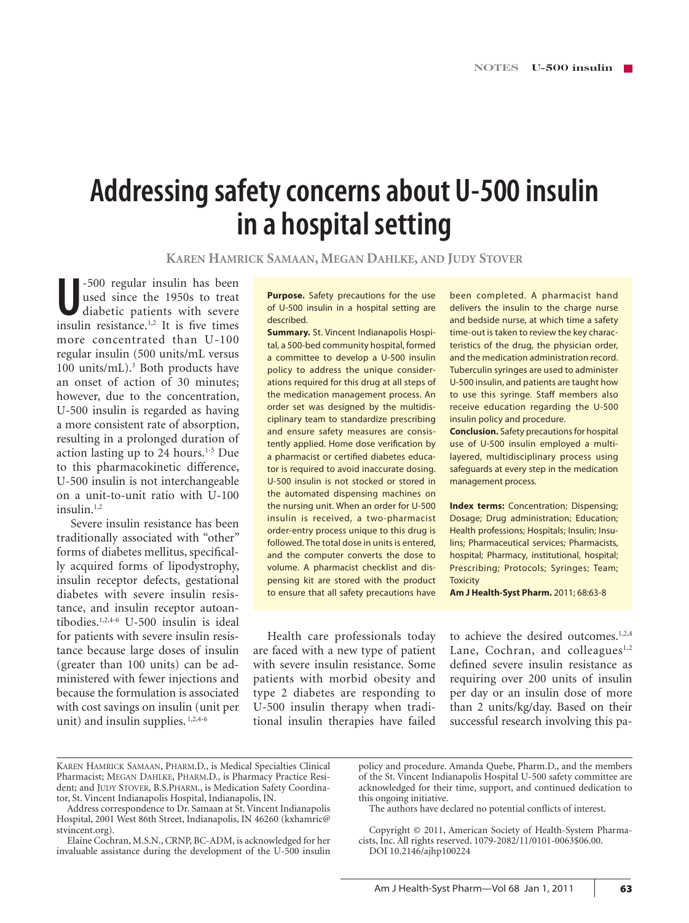# **Addressing safety concerns about U-500 insulin in a hospital setting**

**Karen Hamrick Samaan, Megan Dahlke, and Judy Stover**

J<sub>1500</sub> regular insulin has been<br>used since the 1950s to treat<br>diabetic patients with severe<br>insulin resistance.<sup>1,2</sup> It is five times -500 regular insulin has been used since the 1950s to treat diabetic patients with severe more concentrated than U-100 regular insulin (500 units/mL versus 100 units/mL).3 Both products have an onset of action of 30 minutes; however, due to the concentration, U-500 insulin is regarded as having a more consistent rate of absorption, resulting in a prolonged duration of action lasting up to 24 hours. $1-5$  Due to this pharmacokinetic difference, U-500 insulin is not interchangeable on a unit-to-unit ratio with U-100 insulin.<sup>1,2</sup>

Severe insulin resistance has been traditionally associated with "other" forms of diabetes mellitus, specifically acquired forms of lipodystrophy, insulin receptor defects, gestational diabetes with severe insulin resistance, and insulin receptor autoantibodies.1,2,4-6 U-500 insulin is ideal for patients with severe insulin resistance because large doses of insulin (greater than 100 units) can be administered with fewer injections and because the formulation is associated with cost savings on insulin (unit per unit) and insulin supplies.<sup>1,2,4-6</sup>

**Purpose.** Safety precautions for the use of U-500 insulin in a hospital setting are described.

**Summary.** St. Vincent Indianapolis Hospital, a 500-bed community hospital, formed a committee to develop a U-500 insulin policy to address the unique considerations required for this drug at all steps of the medication management process. An order set was designed by the multidisciplinary team to standardize prescribing and ensure safety measures are consistently applied. Home dose verification by a pharmacist or certified diabetes educator is required to avoid inaccurate dosing. U-500 insulin is not stocked or stored in the automated dispensing machines on the nursing unit. When an order for U-500 insulin is received, a two-pharmacist order-entry process unique to this drug is followed. The total dose in units is entered, and the computer converts the dose to volume. A pharmacist checklist and dispensing kit are stored with the product to ensure that all safety precautions have

been completed. A pharmacist hand delivers the insulin to the charge nurse and bedside nurse, at which time a safety time-out is taken to review the key characteristics of the drug, the physician order, and the medication administration record. Tuberculin syringes are used to administer U-500 insulin, and patients are taught how to use this syringe. Staff members also receive education regarding the U-500 insulin policy and procedure.

**Conclusion.** Safety precautions for hospital use of U-500 insulin employed a multilayered, multidisciplinary process using safeguards at every step in the medication management process.

**Index terms:** Concentration; Dispensing; Dosage; Drug administration; Education; Health professions; Hospitals; Insulin; Insulins; Pharmaceutical services; Pharmacists, hospital; Pharmacy, institutional, hospital; Prescribing; Protocols; Syringes; Team; **Toxicity** 

**Am J Health-Syst Pharm.** 2011; 68:63-8

Health care professionals today are faced with a new type of patient with severe insulin resistance. Some patients with morbid obesity and type 2 diabetes are responding to U-500 insulin therapy when traditional insulin therapies have failed to achieve the desired outcomes.<sup>1,2,4</sup> Lane, Cochran, and colleagues<sup>1,2</sup> defined severe insulin resistance as requiring over 200 units of insulin per day or an insulin dose of more than 2 units/kg/day. Based on their successful research involving this pa-

policy and procedure. Amanda Quebe, Pharm.D., and the members of the St. Vincent Indianapolis Hospital U-500 safety committee are acknowledged for their time, support, and continued dedication to this ongoing initiative.

The authors have declared no potential conflicts of interest.

Copyright © 2011, American Society of Health-System Pharmacists, Inc. All rights reserved. 1079-2082/11/0101-0063\$06.00. DOI 10.2146/ajhp100224

Karen Hamrick Samaan, Pharm.D., is Medical Specialties Clinical Pharmacist; MEGAN DAHLKE, PHARM.D., is Pharmacy Practice Resident; and JUDY STOVER, B.S.PHARM., is Medication Safety Coordinator, St. Vincent Indianapolis Hospital, Indianapolis, IN.

Address correspondence to Dr. Samaan at St. Vincent Indianapolis Hospital, 2001 West 86th Street, Indianapolis, IN 46260 (kxhamric@ stvincent.org).

Elaine Cochran, M.S.N., CRNP, BC-ADM, is acknowledged for her invaluable assistance during the development of the U-500 insulin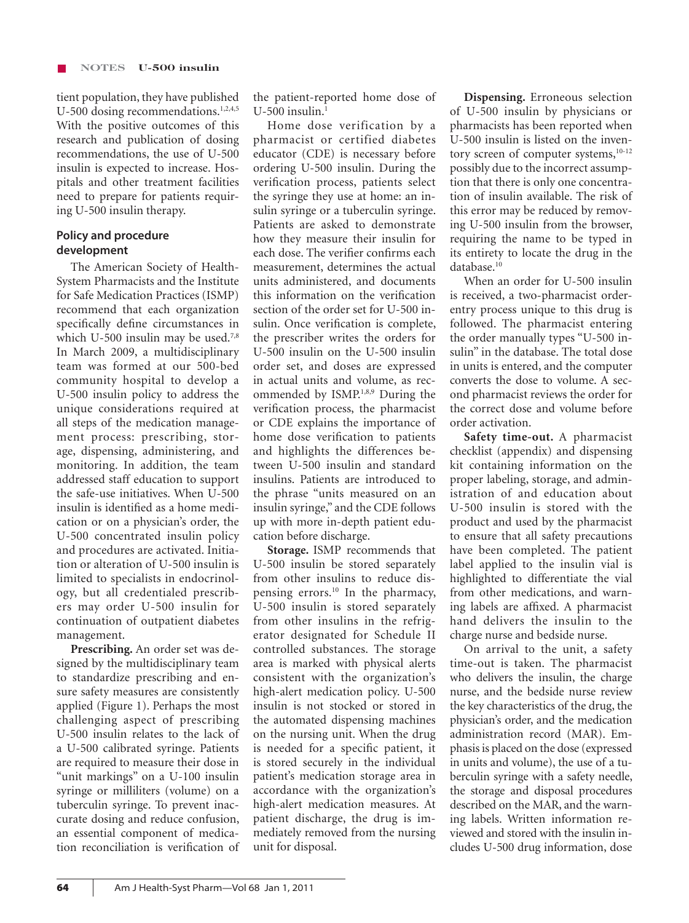tient population, they have published U-500 dosing recommendations.<sup>1,2,4,5</sup> With the positive outcomes of this research and publication of dosing recommendations, the use of U-500 insulin is expected to increase. Hospitals and other treatment facilities need to prepare for patients requiring U-500 insulin therapy.

## **Policy and procedure development**

The American Society of Health-System Pharmacists and the Institute for Safe Medication Practices (ISMP) recommend that each organization specifically define circumstances in which U-500 insulin may be used.<sup>7,8</sup> In March 2009, a multidisciplinary team was formed at our 500-bed community hospital to develop a U-500 insulin policy to address the unique considerations required at all steps of the medication management process: prescribing, storage, dispensing, administering, and monitoring. In addition, the team addressed staff education to support the safe-use initiatives. When U-500 insulin is identified as a home medication or on a physician's order, the U-500 concentrated insulin policy and procedures are activated. Initiation or alteration of U-500 insulin is limited to specialists in endocrinology, but all credentialed prescribers may order U-500 insulin for continuation of outpatient diabetes management.

**Prescribing.** An order set was designed by the multidisciplinary team to standardize prescribing and ensure safety measures are consistently applied (Figure 1). Perhaps the most challenging aspect of prescribing U-500 insulin relates to the lack of a U-500 calibrated syringe. Patients are required to measure their dose in "unit markings" on a U-100 insulin syringe or milliliters (volume) on a tuberculin syringe. To prevent inaccurate dosing and reduce confusion, an essential component of medication reconciliation is verification of the patient-reported home dose of  $U-500$  insulin.<sup>1</sup>

Home dose verification by a pharmacist or certified diabetes educator (CDE) is necessary before ordering U-500 insulin. During the verification process, patients select the syringe they use at home: an insulin syringe or a tuberculin syringe. Patients are asked to demonstrate how they measure their insulin for each dose. The verifier confirms each measurement, determines the actual units administered, and documents this information on the verification section of the order set for U-500 insulin. Once verification is complete, the prescriber writes the orders for U-500 insulin on the U-500 insulin order set, and doses are expressed in actual units and volume, as recommended by ISMP.1,8,9 During the verification process, the pharmacist or CDE explains the importance of home dose verification to patients and highlights the differences between U-500 insulin and standard insulins. Patients are introduced to the phrase "units measured on an insulin syringe," and the CDE follows up with more in-depth patient education before discharge.

**Storage.** ISMP recommends that U-500 insulin be stored separately from other insulins to reduce dispensing errors.10 In the pharmacy, U-500 insulin is stored separately from other insulins in the refrigerator designated for Schedule II controlled substances. The storage area is marked with physical alerts consistent with the organization's high-alert medication policy. U-500 insulin is not stocked or stored in the automated dispensing machines on the nursing unit. When the drug is needed for a specific patient, it is stored securely in the individual patient's medication storage area in accordance with the organization's high-alert medication measures. At patient discharge, the drug is immediately removed from the nursing unit for disposal.

**Dispensing.** Erroneous selection of U-500 insulin by physicians or pharmacists has been reported when U-500 insulin is listed on the inventory screen of computer systems, $10-12$ possibly due to the incorrect assumption that there is only one concentration of insulin available. The risk of this error may be reduced by removing U-500 insulin from the browser, requiring the name to be typed in its entirety to locate the drug in the database.<sup>10</sup>

When an order for U-500 insulin is received, a two-pharmacist orderentry process unique to this drug is followed. The pharmacist entering the order manually types "U-500 insulin" in the database. The total dose in units is entered, and the computer converts the dose to volume. A second pharmacist reviews the order for the correct dose and volume before order activation.

**Safety time-out.** A pharmacist checklist (appendix) and dispensing kit containing information on the proper labeling, storage, and administration of and education about U-500 insulin is stored with the product and used by the pharmacist to ensure that all safety precautions have been completed. The patient label applied to the insulin vial is highlighted to differentiate the vial from other medications, and warning labels are affixed. A pharmacist hand delivers the insulin to the charge nurse and bedside nurse.

On arrival to the unit, a safety time-out is taken. The pharmacist who delivers the insulin, the charge nurse, and the bedside nurse review the key characteristics of the drug, the physician's order, and the medication administration record (MAR). Emphasis is placed on the dose (expressed in units and volume), the use of a tuberculin syringe with a safety needle, the storage and disposal procedures described on the MAR, and the warning labels. Written information reviewed and stored with the insulin includes U-500 drug information, dose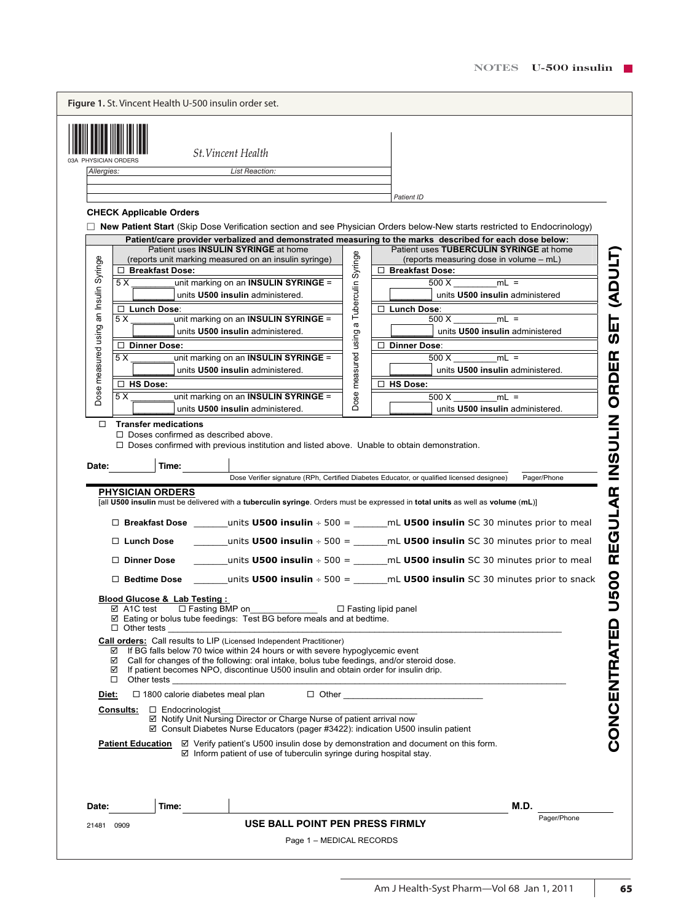| Dose measured using an Insulin Syringe<br>5 X<br>5 X<br>□<br>Date:<br>☑<br>☑<br>☑<br>□<br><u>Diet:</u><br>Consults:<br>Date:<br>21481 0909 | □ HS Dose:<br><b>Transfer medications</b><br>$\Box$ Doses confirmed as described above.<br>Time:<br><b>PHYSICIAN ORDERS</b><br>□ Lunch Dose<br>□ Dinner Dose<br>$\Box$ Bedtime Dose<br><b>Blood Glucose &amp; Lab Testing:</b><br>☑ A1C test<br>□ Fasting BMP on<br>$\Box$ Other tests<br>Other tests<br>$\Box$ 1800 calorie diabetes meal plan<br>$\Box$ Endocrinologist<br><u> Patient Education</u><br>Time: | unit marking on an INSULIN SYRINGE =<br>units U500 insulin administered.<br>$\Box$ Doses confirmed with previous institution and listed above. Unable to obtain demonstration.<br>☑ Eating or bolus tube feedings: Test BG before meals and at bedtime.<br>Call orders: Call results to LIP (Licensed Independent Practitioner)<br>If BG falls below 70 twice within 24 hours or with severe hypoglycemic event<br>Call for changes of the following: oral intake, bolus tube feedings, and/or steroid dose.<br>If patient becomes NPO, discontinue U500 insulin and obtain order for insulin drip.<br>☑ Notify Unit Nursing Director or Charge Nurse of patient arrival now<br>$\boxtimes$ Consult Diabetes Nurse Educators (pager #3422): indication U500 insulin patient<br>⊠ Verify patient's U500 insulin dose by demonstration and document on this form.<br>$\boxtimes$ Inform patient of use of tuberculin syringe during hospital stay.<br>USE BALL POINT PEN PRESS FIRMLY | Dose measured using  | units U500 insulin administered.<br>$\Box$ HS Dose:<br>500 X<br>$mL =$<br>units U500 insulin administered.<br>Dose Verifier signature (RPh, Certified Diabetes Educator, or qualified licensed designee)<br>[all U500 insulin must be delivered with a tuberculin syringe. Orders must be expressed in total units as well as volume (mL)]<br>□ Breakfast Dose ________units U500 insulin ÷ 500 = _______mL U500 insulin SC 30 minutes prior to meal<br>_units U500 insulin $\div$ 500 = ________mL U500 insulin SC 30 minutes prior to meal<br>units <b>U500 insulin</b> $\div$ 500 = $\frac{1}{2}$ mL <b>U500 insulin</b> SC 30 minutes prior to meal<br>units <b>U500 insulin</b> $\div$ 500 = ________mL <b>U500 insulin</b> SC 30 minutes prior to snack<br>$\Box$ Fasting lipid panel<br>$\Box$ Other $\Box$<br>M.D. | U500 REGULAR INSULIN ORDER<br>Pager/Phone<br>CONCENTRATED<br>Pager/Phone |
|--------------------------------------------------------------------------------------------------------------------------------------------|-----------------------------------------------------------------------------------------------------------------------------------------------------------------------------------------------------------------------------------------------------------------------------------------------------------------------------------------------------------------------------------------------------------------|-------------------------------------------------------------------------------------------------------------------------------------------------------------------------------------------------------------------------------------------------------------------------------------------------------------------------------------------------------------------------------------------------------------------------------------------------------------------------------------------------------------------------------------------------------------------------------------------------------------------------------------------------------------------------------------------------------------------------------------------------------------------------------------------------------------------------------------------------------------------------------------------------------------------------------------------------------------------------------------|----------------------|----------------------------------------------------------------------------------------------------------------------------------------------------------------------------------------------------------------------------------------------------------------------------------------------------------------------------------------------------------------------------------------------------------------------------------------------------------------------------------------------------------------------------------------------------------------------------------------------------------------------------------------------------------------------------------------------------------------------------------------------------------------------------------------------------------------------------|--------------------------------------------------------------------------|
|                                                                                                                                            |                                                                                                                                                                                                                                                                                                                                                                                                                 |                                                                                                                                                                                                                                                                                                                                                                                                                                                                                                                                                                                                                                                                                                                                                                                                                                                                                                                                                                                     |                      |                                                                                                                                                                                                                                                                                                                                                                                                                                                                                                                                                                                                                                                                                                                                                                                                                            |                                                                          |
|                                                                                                                                            |                                                                                                                                                                                                                                                                                                                                                                                                                 |                                                                                                                                                                                                                                                                                                                                                                                                                                                                                                                                                                                                                                                                                                                                                                                                                                                                                                                                                                                     |                      |                                                                                                                                                                                                                                                                                                                                                                                                                                                                                                                                                                                                                                                                                                                                                                                                                            |                                                                          |
|                                                                                                                                            |                                                                                                                                                                                                                                                                                                                                                                                                                 |                                                                                                                                                                                                                                                                                                                                                                                                                                                                                                                                                                                                                                                                                                                                                                                                                                                                                                                                                                                     |                      |                                                                                                                                                                                                                                                                                                                                                                                                                                                                                                                                                                                                                                                                                                                                                                                                                            |                                                                          |
|                                                                                                                                            |                                                                                                                                                                                                                                                                                                                                                                                                                 |                                                                                                                                                                                                                                                                                                                                                                                                                                                                                                                                                                                                                                                                                                                                                                                                                                                                                                                                                                                     |                      |                                                                                                                                                                                                                                                                                                                                                                                                                                                                                                                                                                                                                                                                                                                                                                                                                            |                                                                          |
|                                                                                                                                            |                                                                                                                                                                                                                                                                                                                                                                                                                 |                                                                                                                                                                                                                                                                                                                                                                                                                                                                                                                                                                                                                                                                                                                                                                                                                                                                                                                                                                                     |                      |                                                                                                                                                                                                                                                                                                                                                                                                                                                                                                                                                                                                                                                                                                                                                                                                                            |                                                                          |
|                                                                                                                                            |                                                                                                                                                                                                                                                                                                                                                                                                                 |                                                                                                                                                                                                                                                                                                                                                                                                                                                                                                                                                                                                                                                                                                                                                                                                                                                                                                                                                                                     |                      |                                                                                                                                                                                                                                                                                                                                                                                                                                                                                                                                                                                                                                                                                                                                                                                                                            |                                                                          |
|                                                                                                                                            |                                                                                                                                                                                                                                                                                                                                                                                                                 |                                                                                                                                                                                                                                                                                                                                                                                                                                                                                                                                                                                                                                                                                                                                                                                                                                                                                                                                                                                     |                      |                                                                                                                                                                                                                                                                                                                                                                                                                                                                                                                                                                                                                                                                                                                                                                                                                            |                                                                          |
|                                                                                                                                            |                                                                                                                                                                                                                                                                                                                                                                                                                 |                                                                                                                                                                                                                                                                                                                                                                                                                                                                                                                                                                                                                                                                                                                                                                                                                                                                                                                                                                                     |                      |                                                                                                                                                                                                                                                                                                                                                                                                                                                                                                                                                                                                                                                                                                                                                                                                                            |                                                                          |
|                                                                                                                                            |                                                                                                                                                                                                                                                                                                                                                                                                                 |                                                                                                                                                                                                                                                                                                                                                                                                                                                                                                                                                                                                                                                                                                                                                                                                                                                                                                                                                                                     |                      |                                                                                                                                                                                                                                                                                                                                                                                                                                                                                                                                                                                                                                                                                                                                                                                                                            |                                                                          |
|                                                                                                                                            |                                                                                                                                                                                                                                                                                                                                                                                                                 |                                                                                                                                                                                                                                                                                                                                                                                                                                                                                                                                                                                                                                                                                                                                                                                                                                                                                                                                                                                     |                      |                                                                                                                                                                                                                                                                                                                                                                                                                                                                                                                                                                                                                                                                                                                                                                                                                            |                                                                          |
|                                                                                                                                            |                                                                                                                                                                                                                                                                                                                                                                                                                 |                                                                                                                                                                                                                                                                                                                                                                                                                                                                                                                                                                                                                                                                                                                                                                                                                                                                                                                                                                                     |                      |                                                                                                                                                                                                                                                                                                                                                                                                                                                                                                                                                                                                                                                                                                                                                                                                                            |                                                                          |
|                                                                                                                                            |                                                                                                                                                                                                                                                                                                                                                                                                                 |                                                                                                                                                                                                                                                                                                                                                                                                                                                                                                                                                                                                                                                                                                                                                                                                                                                                                                                                                                                     |                      |                                                                                                                                                                                                                                                                                                                                                                                                                                                                                                                                                                                                                                                                                                                                                                                                                            |                                                                          |
|                                                                                                                                            |                                                                                                                                                                                                                                                                                                                                                                                                                 | unit marking on an INSULIN SYRINGE =<br>units U500 insulin administered.                                                                                                                                                                                                                                                                                                                                                                                                                                                                                                                                                                                                                                                                                                                                                                                                                                                                                                            |                      | 500 X<br>$mL =$                                                                                                                                                                                                                                                                                                                                                                                                                                                                                                                                                                                                                                                                                                                                                                                                            |                                                                          |
|                                                                                                                                            | □ Dinner Dose:                                                                                                                                                                                                                                                                                                                                                                                                  |                                                                                                                                                                                                                                                                                                                                                                                                                                                                                                                                                                                                                                                                                                                                                                                                                                                                                                                                                                                     |                      | □ Dinner Dose:                                                                                                                                                                                                                                                                                                                                                                                                                                                                                                                                                                                                                                                                                                                                                                                                             |                                                                          |
| 5 X                                                                                                                                        |                                                                                                                                                                                                                                                                                                                                                                                                                 | unit marking on an INSULIN SYRINGE =<br>units U500 insulin administered.                                                                                                                                                                                                                                                                                                                                                                                                                                                                                                                                                                                                                                                                                                                                                                                                                                                                                                            |                      | $mL =$<br>500 X<br>units U500 insulin administered                                                                                                                                                                                                                                                                                                                                                                                                                                                                                                                                                                                                                                                                                                                                                                         | <b>SET (ADULT)</b>                                                       |
|                                                                                                                                            | □ Lunch Dose:                                                                                                                                                                                                                                                                                                                                                                                                   | units U500 insulin administered.                                                                                                                                                                                                                                                                                                                                                                                                                                                                                                                                                                                                                                                                                                                                                                                                                                                                                                                                                    | a Tuberculin Syringe | units U500 insulin administered<br>□ Lunch Dose:                                                                                                                                                                                                                                                                                                                                                                                                                                                                                                                                                                                                                                                                                                                                                                           |                                                                          |
| 5 X                                                                                                                                        |                                                                                                                                                                                                                                                                                                                                                                                                                 | unit marking on an INSULIN SYRINGE =                                                                                                                                                                                                                                                                                                                                                                                                                                                                                                                                                                                                                                                                                                                                                                                                                                                                                                                                                |                      | 500 X<br>$mL =$                                                                                                                                                                                                                                                                                                                                                                                                                                                                                                                                                                                                                                                                                                                                                                                                            |                                                                          |
|                                                                                                                                            | □ Breakfast Dose:                                                                                                                                                                                                                                                                                                                                                                                               | (reports unit marking measured on an insulin syringe)                                                                                                                                                                                                                                                                                                                                                                                                                                                                                                                                                                                                                                                                                                                                                                                                                                                                                                                               |                      | (reports measuring dose in volume - mL)<br>□ Breakfast Dose:                                                                                                                                                                                                                                                                                                                                                                                                                                                                                                                                                                                                                                                                                                                                                               |                                                                          |
|                                                                                                                                            |                                                                                                                                                                                                                                                                                                                                                                                                                 | Patient uses INSULIN SYRINGE at home                                                                                                                                                                                                                                                                                                                                                                                                                                                                                                                                                                                                                                                                                                                                                                                                                                                                                                                                                |                      | Patient/care provider verbalized and demonstrated measuring to the marks described for each dose below:<br>Patient uses TUBERCULIN SYRINGE at home                                                                                                                                                                                                                                                                                                                                                                                                                                                                                                                                                                                                                                                                         |                                                                          |
|                                                                                                                                            |                                                                                                                                                                                                                                                                                                                                                                                                                 |                                                                                                                                                                                                                                                                                                                                                                                                                                                                                                                                                                                                                                                                                                                                                                                                                                                                                                                                                                                     |                      | □ New Patient Start (Skip Dose Verification section and see Physician Orders below-New starts restricted to Endocrinology)                                                                                                                                                                                                                                                                                                                                                                                                                                                                                                                                                                                                                                                                                                 |                                                                          |
|                                                                                                                                            | <b>CHECK Applicable Orders</b>                                                                                                                                                                                                                                                                                                                                                                                  |                                                                                                                                                                                                                                                                                                                                                                                                                                                                                                                                                                                                                                                                                                                                                                                                                                                                                                                                                                                     |                      |                                                                                                                                                                                                                                                                                                                                                                                                                                                                                                                                                                                                                                                                                                                                                                                                                            |                                                                          |
|                                                                                                                                            |                                                                                                                                                                                                                                                                                                                                                                                                                 |                                                                                                                                                                                                                                                                                                                                                                                                                                                                                                                                                                                                                                                                                                                                                                                                                                                                                                                                                                                     |                      | Patient ID                                                                                                                                                                                                                                                                                                                                                                                                                                                                                                                                                                                                                                                                                                                                                                                                                 |                                                                          |
| Allergies:                                                                                                                                 |                                                                                                                                                                                                                                                                                                                                                                                                                 | <b>List Reaction:</b>                                                                                                                                                                                                                                                                                                                                                                                                                                                                                                                                                                                                                                                                                                                                                                                                                                                                                                                                                               |                      |                                                                                                                                                                                                                                                                                                                                                                                                                                                                                                                                                                                                                                                                                                                                                                                                                            |                                                                          |
|                                                                                                                                            |                                                                                                                                                                                                                                                                                                                                                                                                                 | <b>St. Vincent Health</b>                                                                                                                                                                                                                                                                                                                                                                                                                                                                                                                                                                                                                                                                                                                                                                                                                                                                                                                                                           |                      |                                                                                                                                                                                                                                                                                                                                                                                                                                                                                                                                                                                                                                                                                                                                                                                                                            |                                                                          |
|                                                                                                                                            |                                                                                                                                                                                                                                                                                                                                                                                                                 |                                                                                                                                                                                                                                                                                                                                                                                                                                                                                                                                                                                                                                                                                                                                                                                                                                                                                                                                                                                     |                      |                                                                                                                                                                                                                                                                                                                                                                                                                                                                                                                                                                                                                                                                                                                                                                                                                            |                                                                          |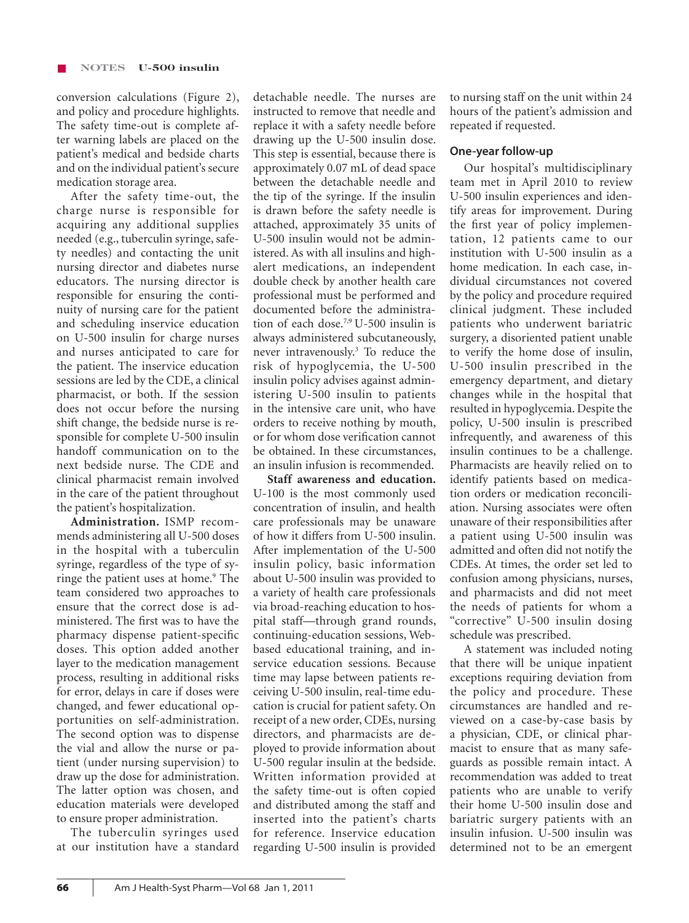conversion calculations (Figure 2), and policy and procedure highlights. The safety time-out is complete after warning labels are placed on the patient's medical and bedside charts and on the individual patient's secure medication storage area.

After the safety time-out, the charge nurse is responsible for acquiring any additional supplies needed (e.g., tuberculin syringe, safety needles) and contacting the unit nursing director and diabetes nurse educators. The nursing director is responsible for ensuring the continuity of nursing care for the patient and scheduling inservice education on U-500 insulin for charge nurses and nurses anticipated to care for the patient. The inservice education sessions are led by the CDE, a clinical pharmacist, or both. If the session does not occur before the nursing shift change, the bedside nurse is responsible for complete U-500 insulin handoff communication on to the next bedside nurse. The CDE and clinical pharmacist remain involved in the care of the patient throughout the patient's hospitalization.

**Administration.** ISMP recommends administering all U-500 doses in the hospital with a tuberculin syringe, regardless of the type of syringe the patient uses at home.<sup>9</sup> The team considered two approaches to ensure that the correct dose is administered. The first was to have the pharmacy dispense patient-specific doses. This option added another layer to the medication management process, resulting in additional risks for error, delays in care if doses were changed, and fewer educational opportunities on self-administration. The second option was to dispense the vial and allow the nurse or patient (under nursing supervision) to draw up the dose for administration. The latter option was chosen, and education materials were developed to ensure proper administration.

The tuberculin syringes used at our institution have a standard detachable needle. The nurses are instructed to remove that needle and replace it with a safety needle before drawing up the U-500 insulin dose. This step is essential, because there is approximately 0.07 mL of dead space between the detachable needle and the tip of the syringe. If the insulin is drawn before the safety needle is attached, approximately 35 units of U-500 insulin would not be administered. As with all insulins and highalert medications, an independent double check by another health care professional must be performed and documented before the administration of each dose.7,9 U-500 insulin is always administered subcutaneously, never intravenously.3 To reduce the risk of hypoglycemia, the U-500 insulin policy advises against administering U-500 insulin to patients in the intensive care unit, who have orders to receive nothing by mouth, or for whom dose verification cannot be obtained. In these circumstances, an insulin infusion is recommended.

**Staff awareness and education.**  U-100 is the most commonly used concentration of insulin, and health care professionals may be unaware of how it differs from U-500 insulin. After implementation of the U-500 insulin policy, basic information about U-500 insulin was provided to a variety of health care professionals via broad-reaching education to hospital staff—through grand rounds, continuing-education sessions, Webbased educational training, and inservice education sessions. Because time may lapse between patients receiving U-500 insulin, real-time education is crucial for patient safety. On receipt of a new order, CDEs, nursing directors, and pharmacists are deployed to provide information about U-500 regular insulin at the bedside. Written information provided at the safety time-out is often copied and distributed among the staff and inserted into the patient's charts for reference. Inservice education regarding U-500 insulin is provided

to nursing staff on the unit within 24 hours of the patient's admission and repeated if requested.

## **One-year follow-up**

Our hospital's multidisciplinary team met in April 2010 to review U-500 insulin experiences and identify areas for improvement. During the first year of policy implementation, 12 patients came to our institution with U-500 insulin as a home medication. In each case, individual circumstances not covered by the policy and procedure required clinical judgment. These included patients who underwent bariatric surgery, a disoriented patient unable to verify the home dose of insulin, U-500 insulin prescribed in the emergency department, and dietary changes while in the hospital that resulted in hypoglycemia. Despite the policy, U-500 insulin is prescribed infrequently, and awareness of this insulin continues to be a challenge. Pharmacists are heavily relied on to identify patients based on medication orders or medication reconciliation. Nursing associates were often unaware of their responsibilities after a patient using U-500 insulin was admitted and often did not notify the CDEs. At times, the order set led to confusion among physicians, nurses, and pharmacists and did not meet the needs of patients for whom a "corrective" U-500 insulin dosing schedule was prescribed.

A statement was included noting that there will be unique inpatient exceptions requiring deviation from the policy and procedure. These circumstances are handled and reviewed on a case-by-case basis by a physician, CDE, or clinical pharmacist to ensure that as many safeguards as possible remain intact. A recommendation was added to treat patients who are unable to verify their home U-500 insulin dose and bariatric surgery patients with an insulin infusion. U-500 insulin was determined not to be an emergent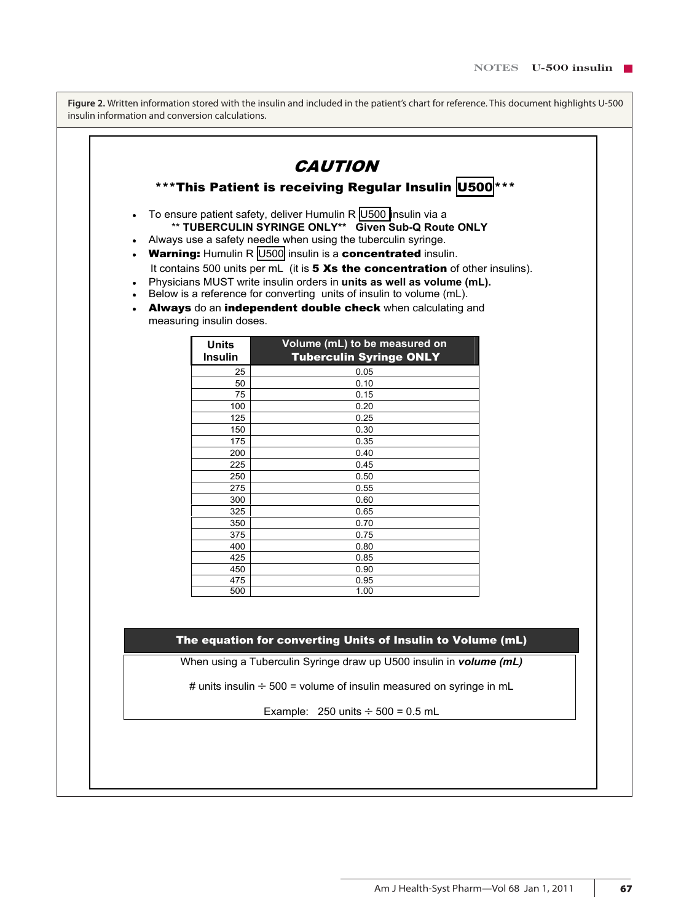**Figure 2.** Written information stored with the insulin and included in the patient's chart for reference. This document highlights U-500 insulin information and conversion calculations.